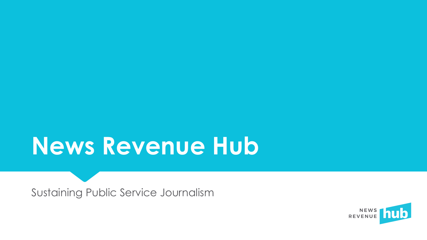## **News Revenue Hub**

Sustaining Public Service Journalism

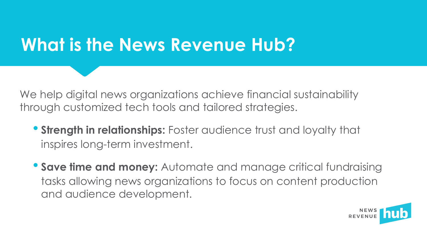#### **What is the News Revenue Hub?**

We help digital news organizations achieve financial sustainability through customized tech tools and tailored strategies.

- **Strength in relationships:** Foster audience trust and loyalty that inspires long-term investment.
- **Save time and money:** Automate and manage critical fundraising tasks allowing news organizations to focus on content production and audience development.

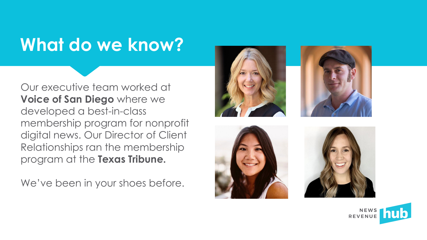#### **What do we know?**

Our executive team worked at **Voice of San Diego** where we developed a best-in-class membership program for nonprofit digital news. Our Director of Client Relationships ran the membership program at the **Texas Tribune.** 

We've been in your shoes before.









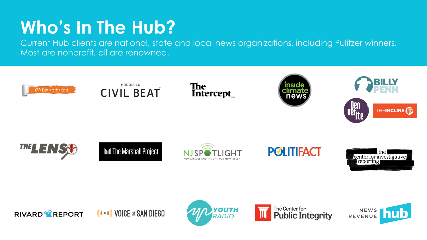### **Who's In The Hub?**

Current Hub clients are national, state and local news organizations, including Pulitzer winners. Most are nonprofit, all are renowned.

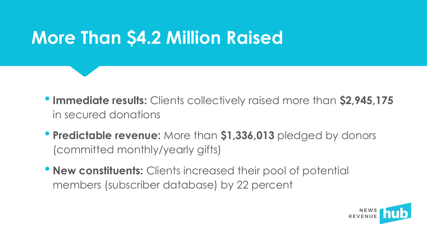#### **More Than \$4.2 Million Raised**

- •**Immediate results:** Clients collectively raised more than **\$2,945,175** in secured donations
- **Predictable revenue:** More than **\$1,336,013** pledged by donors (committed monthly/yearly gifts)
- **New constituents:** Clients increased their pool of potential members (subscriber database) by 22 percent

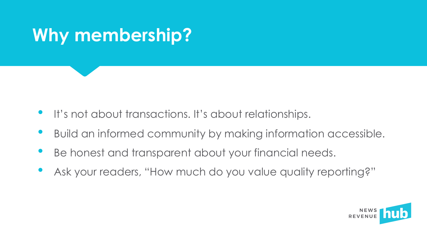

- It's not about transactions. It's about relationships.
- Build an informed community by making information accessible.
- Be honest and transparent about your financial needs.
- Ask your readers, "How much do you value quality reporting?"

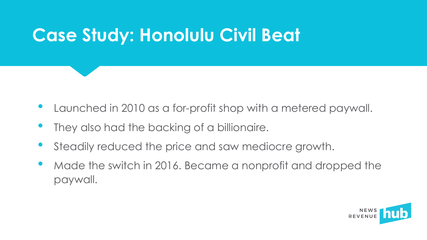#### **Case Study: Honolulu Civil Beat**

- Launched in 2010 as a for-profit shop with a metered paywall.
- They also had the backing of a billionaire.
- Steadily reduced the price and saw mediocre growth.
- Made the switch in 2016. Became a nonprofit and dropped the paywall.

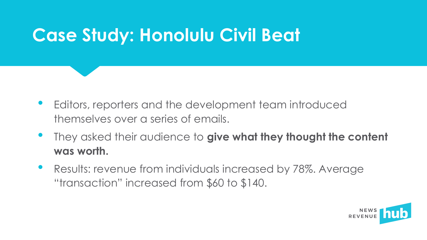#### **Case Study: Honolulu Civil Beat**

- Editors, reporters and the development team introduced themselves over a series of emails.
- They asked their audience to **give what they thought the content was worth.**
- Results: revenue from individuals increased by 78%. Average "transaction" increased from \$60 to \$140.

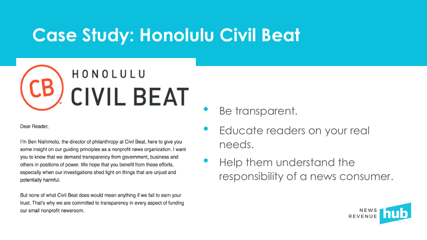#### **Case Study: Honolulu Civil Beat**



Dear Reader.

I'm Ben Nishimoto, the director of philanthropy at Civil Beat, here to give you some insight on our guiding principles as a nonprofit news organization. I want you to know that we demand transparency from government, business and others in positions of power. We hope that you benefit from these efforts, especially when our investigations shed light on things that are unjust and potentially harmful.

But none of what Civil Beat does would mean anything if we fail to earn your trust. That's why we are committed to transparency in every aspect of funding our small nonprofit newsroom.

Be transparent.

- Educate readers on your real needs.
- Help them understand the responsibility of a news consumer.

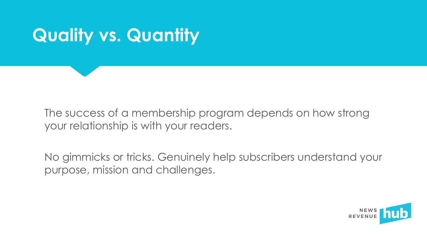

The success of a membership program depends on how strong your relationship is with your readers.

No gimmicks or tricks. Genuinely help subscribers understand your purpose, mission and challenges.

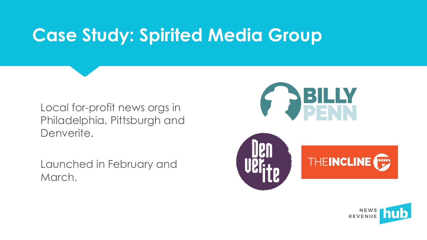#### **Case Study: Spirited Media Group**

Local for-profit news orgs in Philadelphia, Pittsburgh and Denverite.

Launched in February and March.





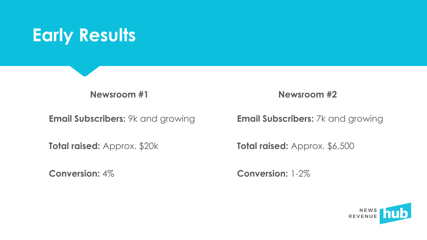

**Newsroom #1**

**Email Subscribers:** 9k and growing

**Total raised:** Approx. \$20k

**Conversion:** 4%

**Newsroom #2**

**Email Subscribers:** 7k and growing

**Total raised:** Approx. \$6,500

**Conversion:** 1-2%

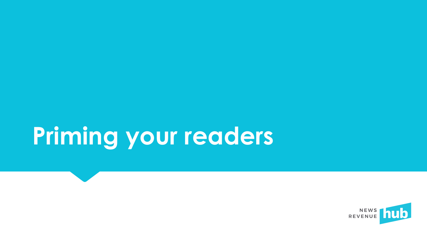# **Priming your readers**

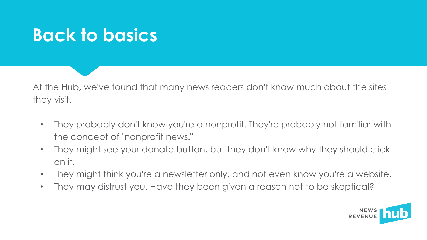#### **Back to basics**

At the Hub, we've found that many news readers don't know much about the sites they visit.

- They probably don't know you're a nonprofit. They're probably not familiar with the concept of "nonprofit news."
- They might see your donate button, but they don't know why they should click on it.
- They might think you're a newsletter only, and not even know you're a website.
- They may distrust you. Have they been given a reason not to be skeptical?

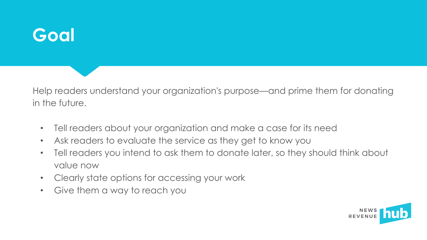#### **Goal**

Help readers understand your organization's purpose—and prime them for donating in the future.

- Tell readers about your organization and make a case for its need
- Ask readers to evaluate the service as they get to know you
- Tell readers you intend to ask them to donate later, so they should think about value now
- Clearly state options for accessing your work
- Give them a way to reach you

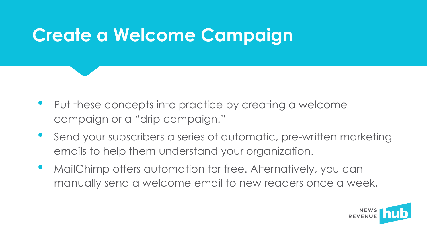#### **Create a Welcome Campaign**

- Put these concepts into practice by creating a welcome campaign or a "drip campaign."
- Send your subscribers a series of automatic, pre-written marketing emails to help them understand your organization.
- MailChimp offers automation for free. Alternatively, you can manually send a welcome email to new readers once a week.

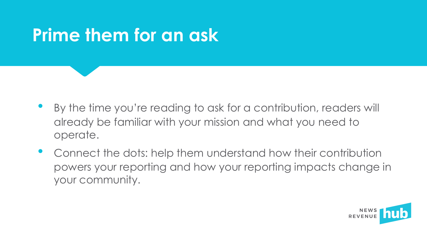#### **Prime them for an ask**

- By the time you're reading to ask for a contribution, readers will already be familiar with your mission and what you need to operate.
- Connect the dots: help them understand how their contribution powers your reporting and how your reporting impacts change in your community.